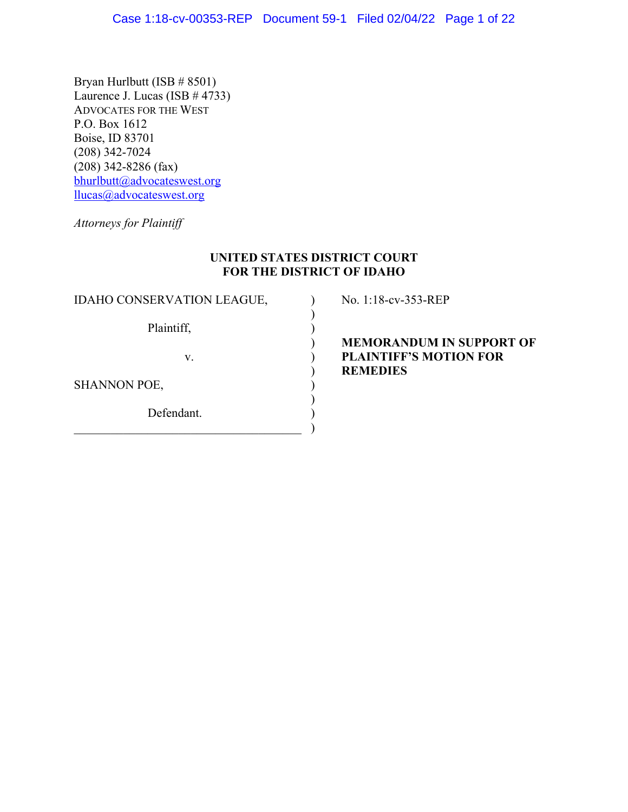Bryan Hurlbutt (ISB # 8501) Laurence J. Lucas (ISB  $\#$  4733) ADVOCATES FOR THE WEST P.O. Box 1612 Boise, ID 83701 (208) 342-7024 (208) 342-8286 (fax) bhurlbutt@advocateswest.org llucas@advocateswest.org

*Attorneys for Plaintiff*

## **UNITED STATES DISTRICT COURT FOR THE DISTRICT OF IDAHO**

)

)

IDAHO CONSERVATION LEAGUE,  $\bigcup$  No. 1:18-cv-353-REP Plaintiff,  $\qquad \qquad$ )

 $\qquad \qquad )$ 

SHANNON POE,

Defendant.

 ) **MEMORANDUM IN SUPPORT OF** v. ) **PLAINTIFF'S MOTION FOR** ) **REMEDIES**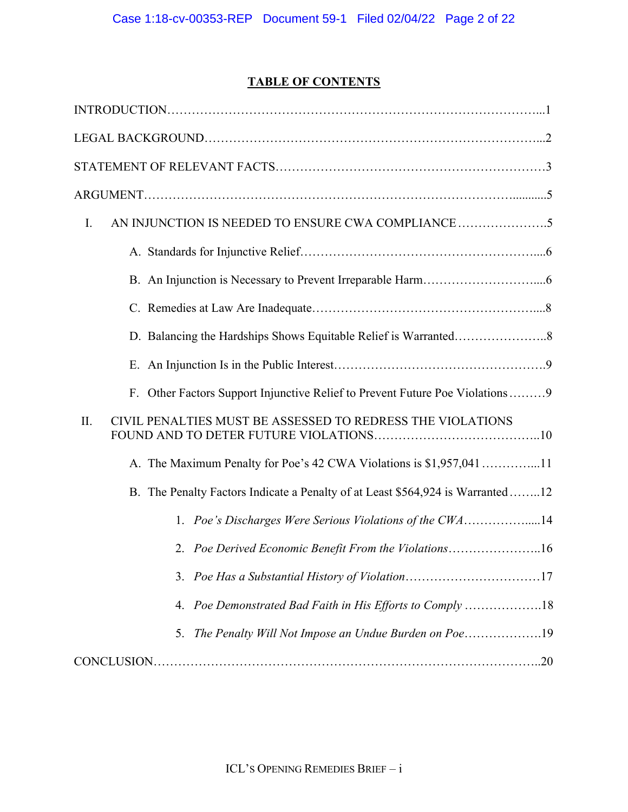# **TABLE OF CONTENTS**

| Ι.                                                                             |
|--------------------------------------------------------------------------------|
|                                                                                |
|                                                                                |
|                                                                                |
|                                                                                |
|                                                                                |
| F. Other Factors Support Injunctive Relief to Prevent Future Poe Violations9   |
| CIVIL PENALTIES MUST BE ASSESSED TO REDRESS THE VIOLATIONS<br>II.              |
| A. The Maximum Penalty for Poe's 42 CWA Violations is \$1,957,041 11           |
| B. The Penalty Factors Indicate a Penalty of at Least \$564,924 is Warranted12 |
| 1. Poe's Discharges Were Serious Violations of the CWA14                       |
| 2. Poe Derived Economic Benefit From the Violations16                          |
|                                                                                |
| 4. Poe Demonstrated Bad Faith in His Efforts to Comply 18                      |
| 5.                                                                             |
|                                                                                |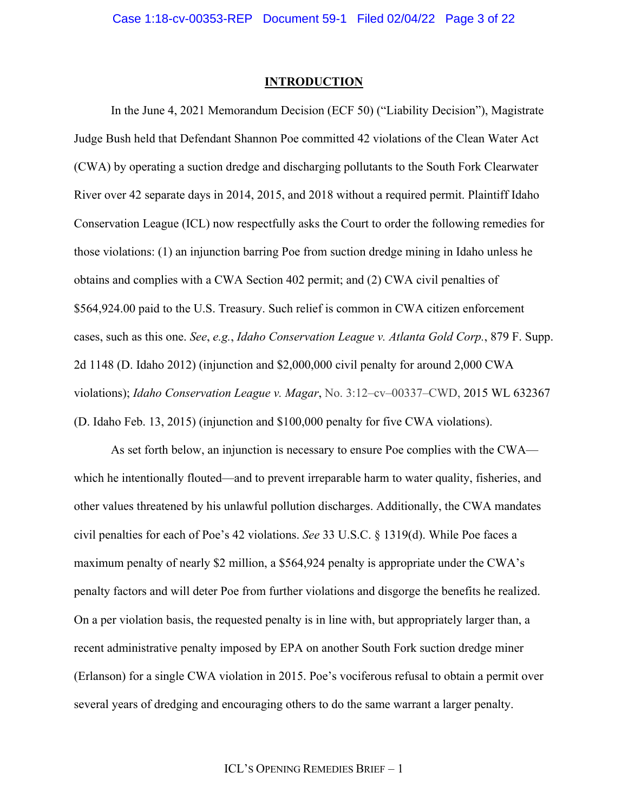#### **INTRODUCTION**

In the June 4, 2021 Memorandum Decision (ECF 50) ("Liability Decision"), Magistrate Judge Bush held that Defendant Shannon Poe committed 42 violations of the Clean Water Act (CWA) by operating a suction dredge and discharging pollutants to the South Fork Clearwater River over 42 separate days in 2014, 2015, and 2018 without a required permit. Plaintiff Idaho Conservation League (ICL) now respectfully asks the Court to order the following remedies for those violations: (1) an injunction barring Poe from suction dredge mining in Idaho unless he obtains and complies with a CWA Section 402 permit; and (2) CWA civil penalties of \$564,924.00 paid to the U.S. Treasury. Such relief is common in CWA citizen enforcement cases, such as this one. *See*, *e.g.*, *Idaho Conservation League v. Atlanta Gold Corp.*, 879 F. Supp. 2d 1148 (D. Idaho 2012) (injunction and \$2,000,000 civil penalty for around 2,000 CWA violations); *Idaho Conservation League v. Magar*, No. 3:12–cv–00337–CWD, 2015 WL 632367 (D. Idaho Feb. 13, 2015) (injunction and \$100,000 penalty for five CWA violations).

As set forth below, an injunction is necessary to ensure Poe complies with the CWA which he intentionally flouted—and to prevent irreparable harm to water quality, fisheries, and other values threatened by his unlawful pollution discharges. Additionally, the CWA mandates civil penalties for each of Poe's 42 violations. *See* 33 U.S.C. § 1319(d). While Poe faces a maximum penalty of nearly \$2 million, a \$564,924 penalty is appropriate under the CWA's penalty factors and will deter Poe from further violations and disgorge the benefits he realized. On a per violation basis, the requested penalty is in line with, but appropriately larger than, a recent administrative penalty imposed by EPA on another South Fork suction dredge miner (Erlanson) for a single CWA violation in 2015. Poe's vociferous refusal to obtain a permit over several years of dredging and encouraging others to do the same warrant a larger penalty.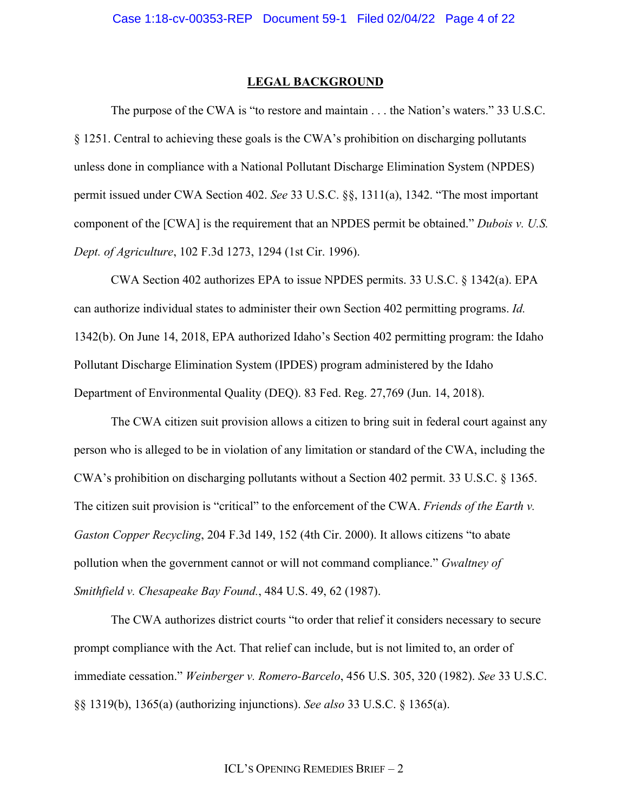#### **LEGAL BACKGROUND**

The purpose of the CWA is "to restore and maintain . . . the Nation's waters." 33 U.S.C. § 1251. Central to achieving these goals is the CWA's prohibition on discharging pollutants unless done in compliance with a National Pollutant Discharge Elimination System (NPDES) permit issued under CWA Section 402. *See* 33 U.S.C. §§, 1311(a), 1342. "The most important component of the [CWA] is the requirement that an NPDES permit be obtained." *Dubois v. U.S. Dept. of Agriculture*, 102 F.3d 1273, 1294 (1st Cir. 1996).

CWA Section 402 authorizes EPA to issue NPDES permits. 33 U.S.C. § 1342(a). EPA can authorize individual states to administer their own Section 402 permitting programs. *Id.*  1342(b). On June 14, 2018, EPA authorized Idaho's Section 402 permitting program: the Idaho Pollutant Discharge Elimination System (IPDES) program administered by the Idaho Department of Environmental Quality (DEQ). 83 Fed. Reg. 27,769 (Jun. 14, 2018).

The CWA citizen suit provision allows a citizen to bring suit in federal court against any person who is alleged to be in violation of any limitation or standard of the CWA, including the CWA's prohibition on discharging pollutants without a Section 402 permit. 33 U.S.C. § 1365. The citizen suit provision is "critical" to the enforcement of the CWA. *Friends of the Earth v. Gaston Copper Recycling*, 204 F.3d 149, 152 (4th Cir. 2000). It allows citizens "to abate pollution when the government cannot or will not command compliance." *Gwaltney of Smithfield v. Chesapeake Bay Found.*, 484 U.S. 49, 62 (1987).

The CWA authorizes district courts "to order that relief it considers necessary to secure prompt compliance with the Act. That relief can include, but is not limited to, an order of immediate cessation." *Weinberger v. Romero-Barcelo*, 456 U.S. 305, 320 (1982). *See* 33 U.S.C. §§ 1319(b), 1365(a) (authorizing injunctions). *See also* 33 U.S.C. § 1365(a).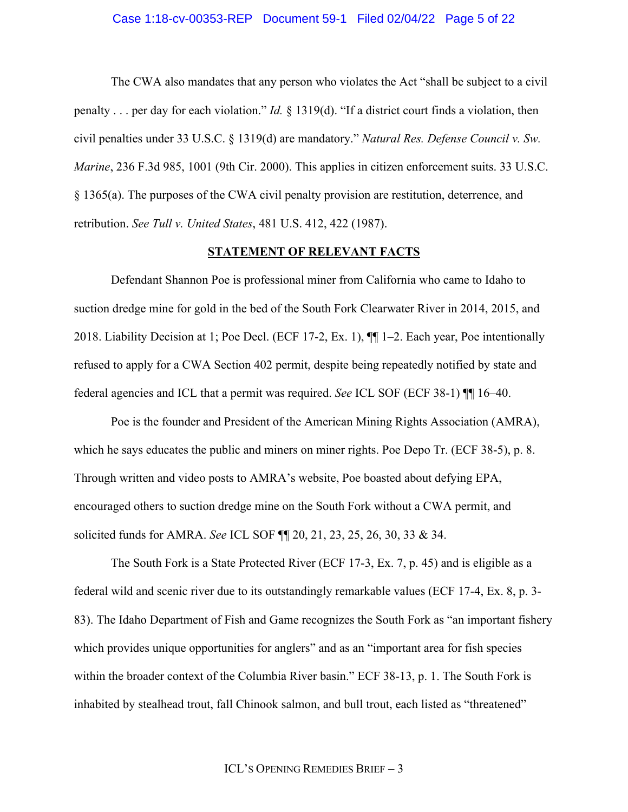### Case 1:18-cv-00353-REP Document 59-1 Filed 02/04/22 Page 5 of 22

The CWA also mandates that any person who violates the Act "shall be subject to a civil penalty . . . per day for each violation." *Id.* § 1319(d). "If a district court finds a violation, then civil penalties under 33 U.S.C. § 1319(d) are mandatory." *Natural Res. Defense Council v. Sw. Marine*, 236 F.3d 985, 1001 (9th Cir. 2000). This applies in citizen enforcement suits. 33 U.S.C. § 1365(a). The purposes of the CWA civil penalty provision are restitution, deterrence, and retribution. *See Tull v. United States*, 481 U.S. 412, 422 (1987).

#### **STATEMENT OF RELEVANT FACTS**

Defendant Shannon Poe is professional miner from California who came to Idaho to suction dredge mine for gold in the bed of the South Fork Clearwater River in 2014, 2015, and 2018. Liability Decision at 1; Poe Decl. (ECF 17-2, Ex. 1), ¶¶ 1–2. Each year, Poe intentionally refused to apply for a CWA Section 402 permit, despite being repeatedly notified by state and federal agencies and ICL that a permit was required. *See* ICL SOF (ECF 38-1) ¶¶ 16–40.

Poe is the founder and President of the American Mining Rights Association (AMRA), which he says educates the public and miners on miner rights. Poe Depo Tr. (ECF 38-5), p. 8. Through written and video posts to AMRA's website, Poe boasted about defying EPA, encouraged others to suction dredge mine on the South Fork without a CWA permit, and solicited funds for AMRA. *See* ICL SOF ¶¶ 20, 21, 23, 25, 26, 30, 33 & 34.

The South Fork is a State Protected River (ECF 17-3, Ex. 7, p. 45) and is eligible as a federal wild and scenic river due to its outstandingly remarkable values (ECF 17-4, Ex. 8, p. 3- 83). The Idaho Department of Fish and Game recognizes the South Fork as "an important fishery which provides unique opportunities for anglers" and as an "important area for fish species within the broader context of the Columbia River basin." ECF 38-13, p. 1. The South Fork is inhabited by stealhead trout, fall Chinook salmon, and bull trout, each listed as "threatened"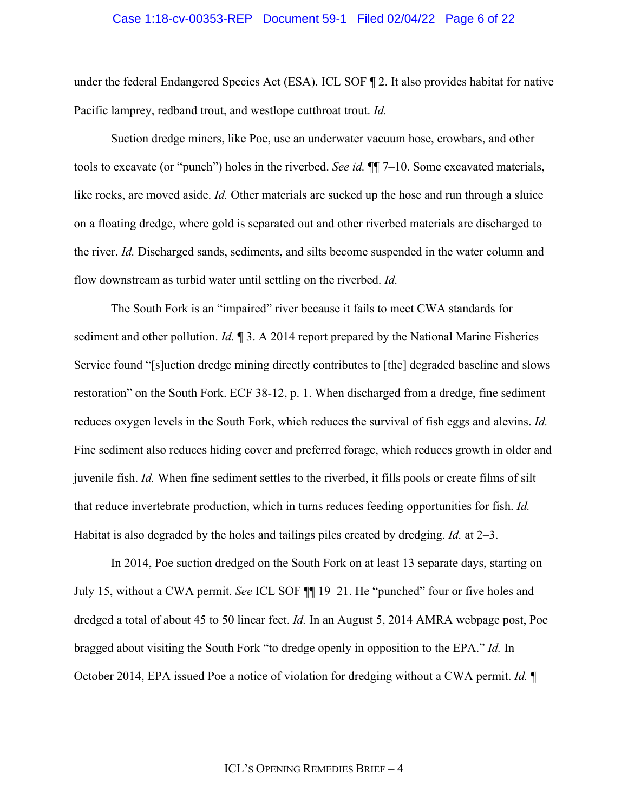### Case 1:18-cv-00353-REP Document 59-1 Filed 02/04/22 Page 6 of 22

under the federal Endangered Species Act (ESA). ICL SOF ¶ 2. It also provides habitat for native Pacific lamprey, redband trout, and westlope cutthroat trout. *Id.*

Suction dredge miners, like Poe, use an underwater vacuum hose, crowbars, and other tools to excavate (or "punch") holes in the riverbed. *See id.* ¶¶ 7–10. Some excavated materials, like rocks, are moved aside. *Id.* Other materials are sucked up the hose and run through a sluice on a floating dredge, where gold is separated out and other riverbed materials are discharged to the river. *Id.* Discharged sands, sediments, and silts become suspended in the water column and flow downstream as turbid water until settling on the riverbed. *Id.*

The South Fork is an "impaired" river because it fails to meet CWA standards for sediment and other pollution. *Id.* ¶ 3. A 2014 report prepared by the National Marine Fisheries Service found "[s]uction dredge mining directly contributes to [the] degraded baseline and slows restoration" on the South Fork. ECF 38-12, p. 1. When discharged from a dredge, fine sediment reduces oxygen levels in the South Fork, which reduces the survival of fish eggs and alevins. *Id.*  Fine sediment also reduces hiding cover and preferred forage, which reduces growth in older and juvenile fish. *Id.* When fine sediment settles to the riverbed, it fills pools or create films of silt that reduce invertebrate production, which in turns reduces feeding opportunities for fish. *Id.* Habitat is also degraded by the holes and tailings piles created by dredging. *Id.* at 2–3.

In 2014, Poe suction dredged on the South Fork on at least 13 separate days, starting on July 15, without a CWA permit. *See* ICL SOF ¶¶ 19–21. He "punched" four or five holes and dredged a total of about 45 to 50 linear feet. *Id.* In an August 5, 2014 AMRA webpage post, Poe bragged about visiting the South Fork "to dredge openly in opposition to the EPA." *Id.* In October 2014, EPA issued Poe a notice of violation for dredging without a CWA permit. *Id.* ¶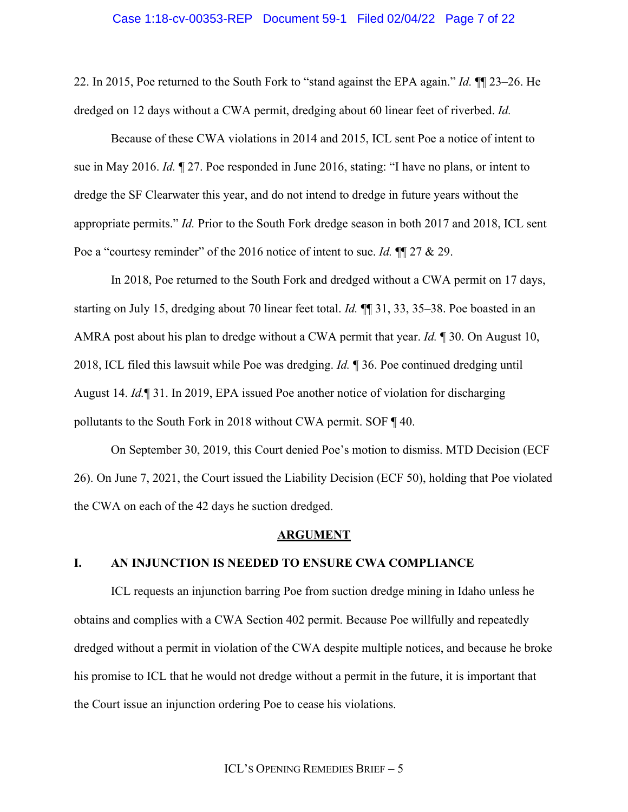### Case 1:18-cv-00353-REP Document 59-1 Filed 02/04/22 Page 7 of 22

22. In 2015, Poe returned to the South Fork to "stand against the EPA again." *Id.* ¶¶ 23–26. He dredged on 12 days without a CWA permit, dredging about 60 linear feet of riverbed. *Id.*

Because of these CWA violations in 2014 and 2015, ICL sent Poe a notice of intent to sue in May 2016. *Id.* ¶ 27. Poe responded in June 2016, stating: "I have no plans, or intent to dredge the SF Clearwater this year, and do not intend to dredge in future years without the appropriate permits." *Id.* Prior to the South Fork dredge season in both 2017 and 2018, ICL sent Poe a "courtesy reminder" of the 2016 notice of intent to sue. *Id.*  $\P$  27 & 29.

In 2018, Poe returned to the South Fork and dredged without a CWA permit on 17 days, starting on July 15, dredging about 70 linear feet total. *Id.* ¶¶ 31, 33, 35–38. Poe boasted in an AMRA post about his plan to dredge without a CWA permit that year. *Id.* ¶ 30. On August 10, 2018, ICL filed this lawsuit while Poe was dredging. *Id.* ¶ 36. Poe continued dredging until August 14. *Id.*¶ 31. In 2019, EPA issued Poe another notice of violation for discharging pollutants to the South Fork in 2018 without CWA permit. SOF ¶ 40.

On September 30, 2019, this Court denied Poe's motion to dismiss. MTD Decision (ECF 26). On June 7, 2021, the Court issued the Liability Decision (ECF 50), holding that Poe violated the CWA on each of the 42 days he suction dredged.

### **ARGUMENT**

## **I. AN INJUNCTION IS NEEDED TO ENSURE CWA COMPLIANCE**

ICL requests an injunction barring Poe from suction dredge mining in Idaho unless he obtains and complies with a CWA Section 402 permit. Because Poe willfully and repeatedly dredged without a permit in violation of the CWA despite multiple notices, and because he broke his promise to ICL that he would not dredge without a permit in the future, it is important that the Court issue an injunction ordering Poe to cease his violations.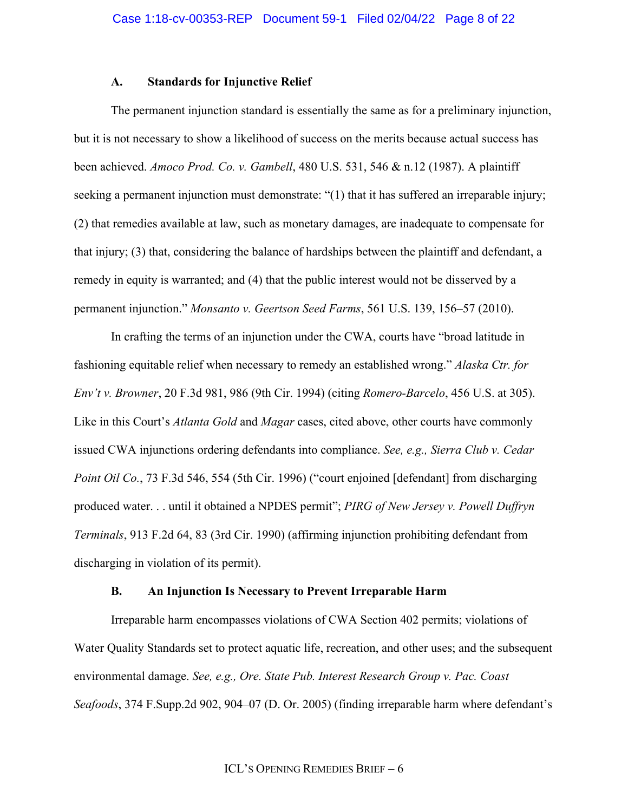### **A. Standards for Injunctive Relief**

The permanent injunction standard is essentially the same as for a preliminary injunction, but it is not necessary to show a likelihood of success on the merits because actual success has been achieved. *Amoco Prod. Co. v. Gambell*, 480 U.S. 531, 546 & n.12 (1987). A plaintiff seeking a permanent injunction must demonstrate: "(1) that it has suffered an irreparable injury; (2) that remedies available at law, such as monetary damages, are inadequate to compensate for that injury; (3) that, considering the balance of hardships between the plaintiff and defendant, a remedy in equity is warranted; and (4) that the public interest would not be disserved by a permanent injunction." *Monsanto v. Geertson Seed Farms*, 561 U.S. 139, 156–57 (2010).

In crafting the terms of an injunction under the CWA, courts have "broad latitude in fashioning equitable relief when necessary to remedy an established wrong." *Alaska Ctr. for Env't v. Browner*, 20 F.3d 981, 986 (9th Cir. 1994) (citing *Romero-Barcelo*, 456 U.S. at 305). Like in this Court's *Atlanta Gold* and *Magar* cases, cited above, other courts have commonly issued CWA injunctions ordering defendants into compliance. *See, e.g., Sierra Club v. Cedar Point Oil Co.*, 73 F.3d 546, 554 (5th Cir. 1996) ("court enjoined [defendant] from discharging produced water. . . until it obtained a NPDES permit"; *PIRG of New Jersey v. Powell Duffryn Terminals*, 913 F.2d 64, 83 (3rd Cir. 1990) (affirming injunction prohibiting defendant from discharging in violation of its permit).

## **B. An Injunction Is Necessary to Prevent Irreparable Harm**

Irreparable harm encompasses violations of CWA Section 402 permits; violations of Water Quality Standards set to protect aquatic life, recreation, and other uses; and the subsequent environmental damage. *See, e.g., Ore. State Pub. Interest Research Group v. Pac. Coast Seafoods*, 374 F.Supp.2d 902, 904–07 (D. Or. 2005) (finding irreparable harm where defendant's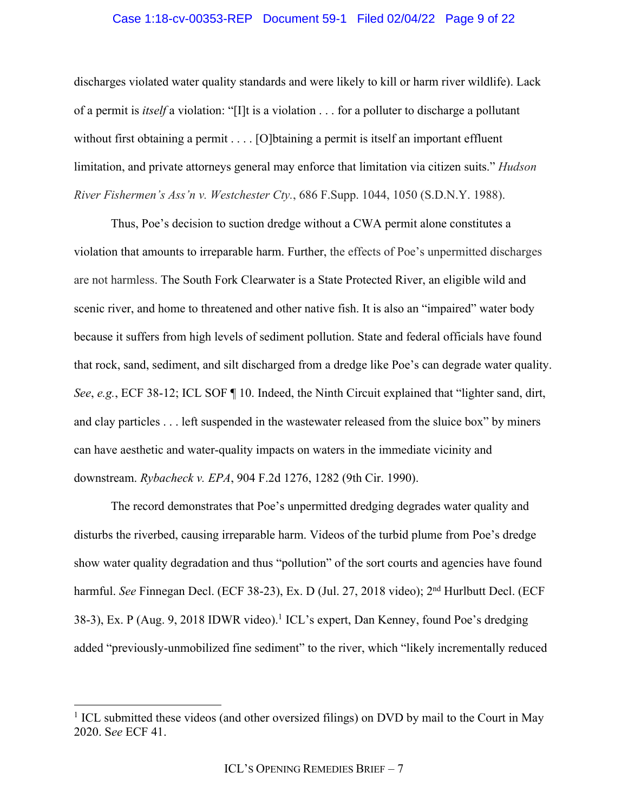## Case 1:18-cv-00353-REP Document 59-1 Filed 02/04/22 Page 9 of 22

discharges violated water quality standards and were likely to kill or harm river wildlife). Lack of a permit is *itself* a violation: "[I]t is a violation . . . for a polluter to discharge a pollutant without first obtaining a permit . . . . [O] btaining a permit is itself an important effluent limitation, and private attorneys general may enforce that limitation via citizen suits." *Hudson River Fishermen's Ass'n v. Westchester Cty.*, 686 F.Supp. 1044, 1050 (S.D.N.Y. 1988).

Thus, Poe's decision to suction dredge without a CWA permit alone constitutes a violation that amounts to irreparable harm. Further, the effects of Poe's unpermitted discharges are not harmless. The South Fork Clearwater is a State Protected River, an eligible wild and scenic river, and home to threatened and other native fish. It is also an "impaired" water body because it suffers from high levels of sediment pollution. State and federal officials have found that rock, sand, sediment, and silt discharged from a dredge like Poe's can degrade water quality. *See*, *e.g.*, ECF 38-12; ICL SOF ¶ 10. Indeed, the Ninth Circuit explained that "lighter sand, dirt, and clay particles . . . left suspended in the wastewater released from the sluice box" by miners can have aesthetic and water-quality impacts on waters in the immediate vicinity and downstream. *Rybacheck v. EPA*, 904 F.2d 1276, 1282 (9th Cir. 1990).

The record demonstrates that Poe's unpermitted dredging degrades water quality and disturbs the riverbed, causing irreparable harm. Videos of the turbid plume from Poe's dredge show water quality degradation and thus "pollution" of the sort courts and agencies have found harmful. *See* Finnegan Decl. (ECF 38-23), Ex. D (Jul. 27, 2018 video); 2<sup>nd</sup> Hurlbutt Decl. (ECF 38-3), Ex. P (Aug. 9, 2018 IDWR video).<sup>1</sup> ICL's expert, Dan Kenney, found Poe's dredging added "previously-unmobilized fine sediment" to the river, which "likely incrementally reduced

<sup>&</sup>lt;sup>1</sup> ICL submitted these videos (and other oversized filings) on DVD by mail to the Court in May 2020. S*ee* ECF 41.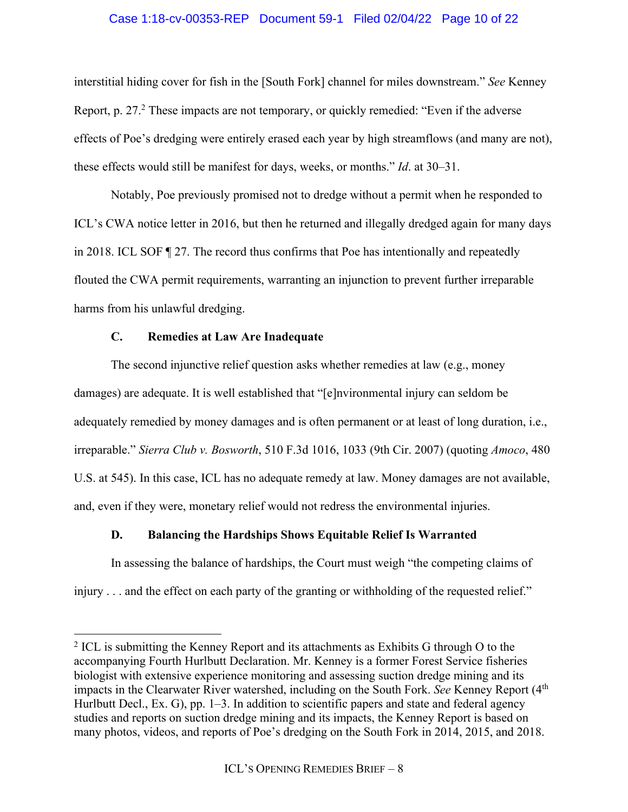## Case 1:18-cv-00353-REP Document 59-1 Filed 02/04/22 Page 10 of 22

interstitial hiding cover for fish in the [South Fork] channel for miles downstream." *See* Kenney Report, p. 27.<sup>2</sup> These impacts are not temporary, or quickly remedied: "Even if the adverse effects of Poe's dredging were entirely erased each year by high streamflows (and many are not), these effects would still be manifest for days, weeks, or months." *Id*. at 30–31.

Notably, Poe previously promised not to dredge without a permit when he responded to ICL's CWA notice letter in 2016, but then he returned and illegally dredged again for many days in 2018. ICL SOF ¶ 27. The record thus confirms that Poe has intentionally and repeatedly flouted the CWA permit requirements, warranting an injunction to prevent further irreparable harms from his unlawful dredging.

## **C. Remedies at Law Are Inadequate**

The second injunctive relief question asks whether remedies at law (e.g., money damages) are adequate. It is well established that "[e]nvironmental injury can seldom be adequately remedied by money damages and is often permanent or at least of long duration, i.e., irreparable." *Sierra Club v. Bosworth*, 510 F.3d 1016, 1033 (9th Cir. 2007) (quoting *Amoco*, 480 U.S. at 545). In this case, ICL has no adequate remedy at law. Money damages are not available, and, even if they were, monetary relief would not redress the environmental injuries.

## **D. Balancing the Hardships Shows Equitable Relief Is Warranted**

In assessing the balance of hardships, the Court must weigh "the competing claims of injury . . . and the effect on each party of the granting or withholding of the requested relief."

 $2$  ICL is submitting the Kenney Report and its attachments as Exhibits G through O to the accompanying Fourth Hurlbutt Declaration. Mr. Kenney is a former Forest Service fisheries biologist with extensive experience monitoring and assessing suction dredge mining and its impacts in the Clearwater River watershed, including on the South Fork. *See* Kenney Report (4<sup>th</sup>) Hurlbutt Decl., Ex. G), pp. 1–3. In addition to scientific papers and state and federal agency studies and reports on suction dredge mining and its impacts, the Kenney Report is based on many photos, videos, and reports of Poe's dredging on the South Fork in 2014, 2015, and 2018.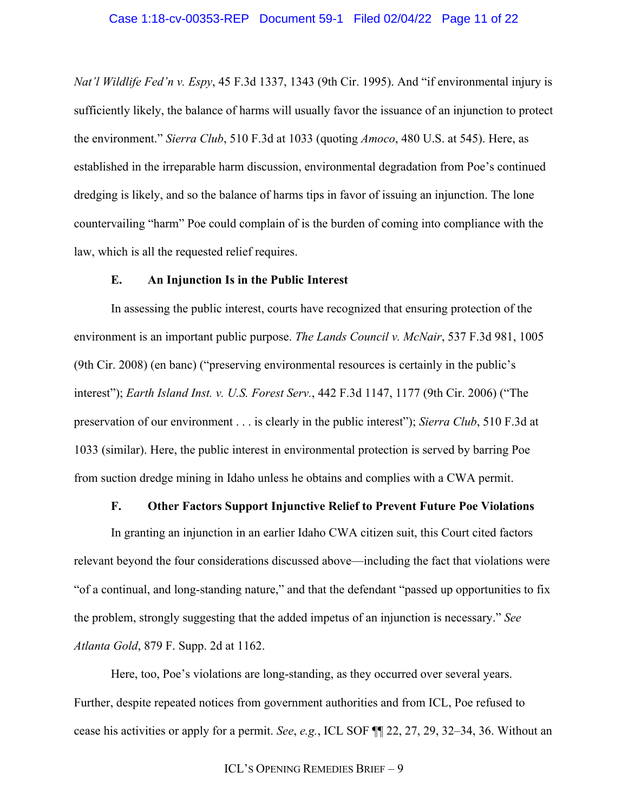*Nat'l Wildlife Fed'n v. Espy*, 45 F.3d 1337, 1343 (9th Cir. 1995). And "if environmental injury is sufficiently likely, the balance of harms will usually favor the issuance of an injunction to protect the environment." *Sierra Club*, 510 F.3d at 1033 (quoting *Amoco*, 480 U.S. at 545). Here, as established in the irreparable harm discussion, environmental degradation from Poe's continued dredging is likely, and so the balance of harms tips in favor of issuing an injunction. The lone countervailing "harm" Poe could complain of is the burden of coming into compliance with the law, which is all the requested relief requires.

### **E. An Injunction Is in the Public Interest**

In assessing the public interest, courts have recognized that ensuring protection of the environment is an important public purpose. *The Lands Council v. McNair*, 537 F.3d 981, 1005 (9th Cir. 2008) (en banc) ("preserving environmental resources is certainly in the public's interest"); *Earth Island Inst. v. U.S. Forest Serv.*, 442 F.3d 1147, 1177 (9th Cir. 2006) ("The preservation of our environment . . . is clearly in the public interest"); *Sierra Club*, 510 F.3d at 1033 (similar). Here, the public interest in environmental protection is served by barring Poe from suction dredge mining in Idaho unless he obtains and complies with a CWA permit.

### **F. Other Factors Support Injunctive Relief to Prevent Future Poe Violations**

In granting an injunction in an earlier Idaho CWA citizen suit, this Court cited factors relevant beyond the four considerations discussed above—including the fact that violations were "of a continual, and long-standing nature," and that the defendant "passed up opportunities to fix the problem, strongly suggesting that the added impetus of an injunction is necessary." *See Atlanta Gold*, 879 F. Supp. 2d at 1162.

Here, too, Poe's violations are long-standing, as they occurred over several years. Further, despite repeated notices from government authorities and from ICL, Poe refused to cease his activities or apply for a permit. *See*, *e.g.*, ICL SOF ¶¶ 22, 27, 29, 32–34, 36. Without an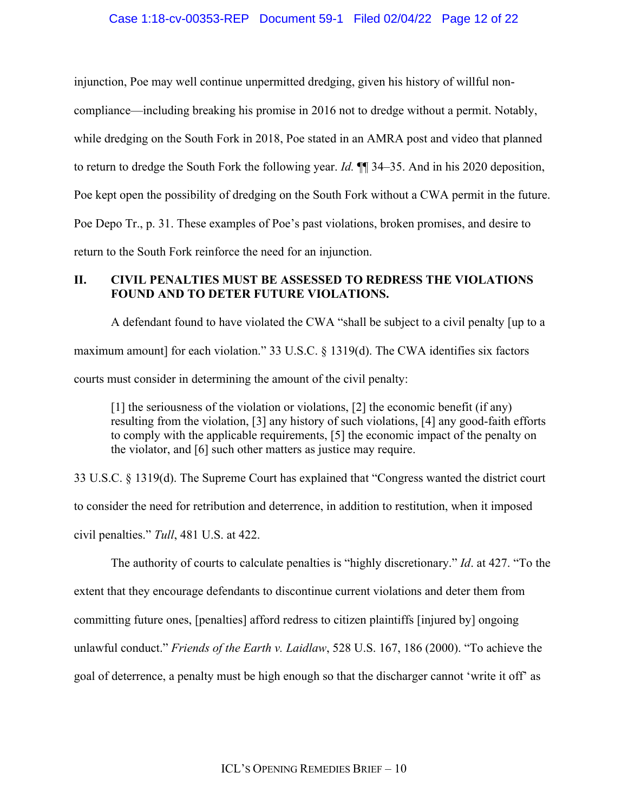## Case 1:18-cv-00353-REP Document 59-1 Filed 02/04/22 Page 12 of 22

injunction, Poe may well continue unpermitted dredging, given his history of willful non-

compliance—including breaking his promise in 2016 not to dredge without a permit. Notably,

while dredging on the South Fork in 2018, Poe stated in an AMRA post and video that planned

to return to dredge the South Fork the following year. *Id.* ¶¶ 34–35. And in his 2020 deposition,

Poe kept open the possibility of dredging on the South Fork without a CWA permit in the future.

Poe Depo Tr., p. 31. These examples of Poe's past violations, broken promises, and desire to

return to the South Fork reinforce the need for an injunction.

## **II. CIVIL PENALTIES MUST BE ASSESSED TO REDRESS THE VIOLATIONS FOUND AND TO DETER FUTURE VIOLATIONS.**

A defendant found to have violated the CWA "shall be subject to a civil penalty [up to a maximum amount] for each violation." 33 U.S.C. § 1319(d). The CWA identifies six factors courts must consider in determining the amount of the civil penalty:

[1] the seriousness of the violation or violations, [2] the economic benefit (if any) resulting from the violation, [3] any history of such violations, [4] any good-faith efforts to comply with the applicable requirements, [5] the economic impact of the penalty on the violator, and [6] such other matters as justice may require.

33 U.S.C. § 1319(d). The Supreme Court has explained that "Congress wanted the district court to consider the need for retribution and deterrence, in addition to restitution, when it imposed civil penalties." *Tull*, 481 U.S. at 422.

The authority of courts to calculate penalties is "highly discretionary." *Id*. at 427. "To the extent that they encourage defendants to discontinue current violations and deter them from committing future ones, [penalties] afford redress to citizen plaintiffs [injured by] ongoing unlawful conduct." *Friends of the Earth v. Laidlaw*, 528 U.S. 167, 186 (2000). "To achieve the goal of deterrence, a penalty must be high enough so that the discharger cannot 'write it off' as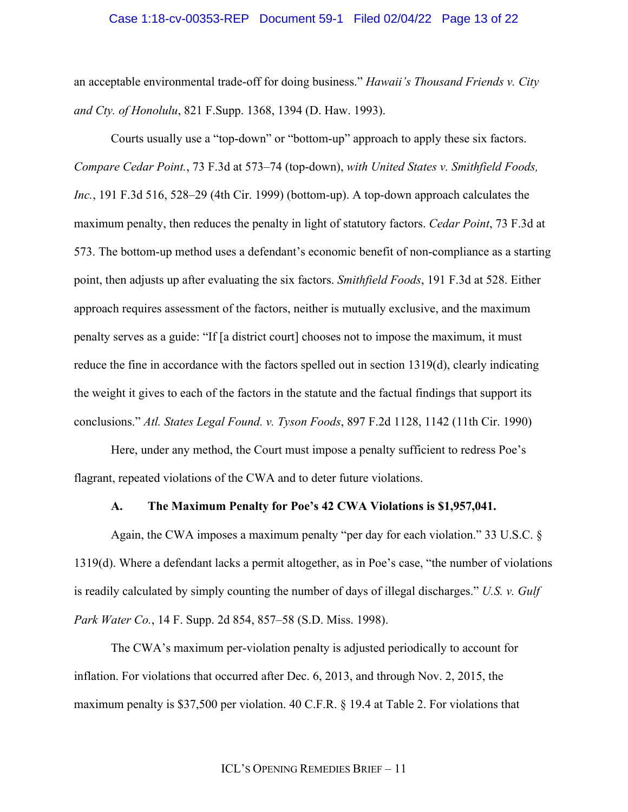### Case 1:18-cv-00353-REP Document 59-1 Filed 02/04/22 Page 13 of 22

an acceptable environmental trade-off for doing business." *Hawaii's Thousand Friends v. City and Cty. of Honolulu*, 821 F.Supp. 1368, 1394 (D. Haw. 1993).

Courts usually use a "top-down" or "bottom-up" approach to apply these six factors. *Compare Cedar Point.*, 73 F.3d at 573–74 (top-down), *with United States v. Smithfield Foods, Inc.*, 191 F.3d 516, 528–29 (4th Cir. 1999) (bottom-up). A top-down approach calculates the maximum penalty, then reduces the penalty in light of statutory factors. *Cedar Point*, 73 F.3d at 573. The bottom-up method uses a defendant's economic benefit of non-compliance as a starting point, then adjusts up after evaluating the six factors. *Smithfield Foods*, 191 F.3d at 528. Either approach requires assessment of the factors, neither is mutually exclusive, and the maximum penalty serves as a guide: "If [a district court] chooses not to impose the maximum, it must reduce the fine in accordance with the factors spelled out in section 1319(d), clearly indicating the weight it gives to each of the factors in the statute and the factual findings that support its conclusions." *Atl. States Legal Found. v. Tyson Foods*, 897 F.2d 1128, 1142 (11th Cir. 1990)

Here, under any method, the Court must impose a penalty sufficient to redress Poe's flagrant, repeated violations of the CWA and to deter future violations.

#### **A. The Maximum Penalty for Poe's 42 CWA Violations is \$1,957,041.**

Again, the CWA imposes a maximum penalty "per day for each violation." 33 U.S.C. § 1319(d). Where a defendant lacks a permit altogether, as in Poe's case, "the number of violations is readily calculated by simply counting the number of days of illegal discharges." *U.S. v. Gulf Park Water Co.*, 14 F. Supp. 2d 854, 857–58 (S.D. Miss. 1998).

The CWA's maximum per-violation penalty is adjusted periodically to account for inflation. For violations that occurred after Dec. 6, 2013, and through Nov. 2, 2015, the maximum penalty is \$37,500 per violation. 40 C.F.R. § 19.4 at Table 2. For violations that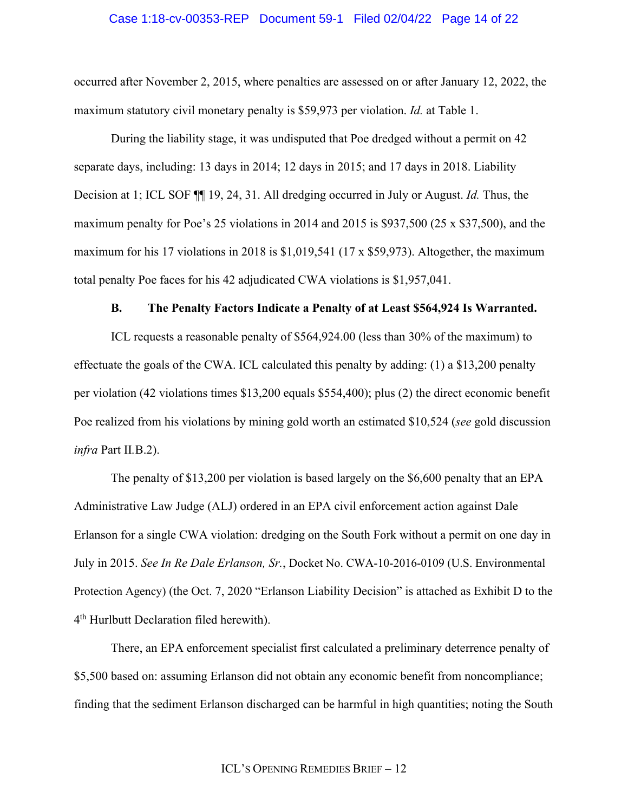### Case 1:18-cv-00353-REP Document 59-1 Filed 02/04/22 Page 14 of 22

occurred after November 2, 2015, where penalties are assessed on or after January 12, 2022, the maximum statutory civil monetary penalty is \$59,973 per violation. *Id.* at Table 1.

During the liability stage, it was undisputed that Poe dredged without a permit on 42 separate days, including: 13 days in 2014; 12 days in 2015; and 17 days in 2018. Liability Decision at 1; ICL SOF ¶¶ 19, 24, 31. All dredging occurred in July or August. *Id.* Thus, the maximum penalty for Poe's 25 violations in 2014 and 2015 is \$937,500 (25 x \$37,500), and the maximum for his 17 violations in 2018 is \$1,019,541 (17 x \$59,973). Altogether, the maximum total penalty Poe faces for his 42 adjudicated CWA violations is \$1,957,041.

### **B. The Penalty Factors Indicate a Penalty of at Least \$564,924 Is Warranted.**

ICL requests a reasonable penalty of \$564,924.00 (less than 30% of the maximum) to effectuate the goals of the CWA. ICL calculated this penalty by adding: (1) a \$13,200 penalty per violation (42 violations times \$13,200 equals \$554,400); plus (2) the direct economic benefit Poe realized from his violations by mining gold worth an estimated \$10,524 (*see* gold discussion *infra* Part II*.*B.2).

The penalty of \$13,200 per violation is based largely on the \$6,600 penalty that an EPA Administrative Law Judge (ALJ) ordered in an EPA civil enforcement action against Dale Erlanson for a single CWA violation: dredging on the South Fork without a permit on one day in July in 2015. *See In Re Dale Erlanson, Sr.*, Docket No. CWA-10-2016-0109 (U.S. Environmental Protection Agency) (the Oct. 7, 2020 "Erlanson Liability Decision" is attached as Exhibit D to the 4th Hurlbutt Declaration filed herewith).

There, an EPA enforcement specialist first calculated a preliminary deterrence penalty of \$5,500 based on: assuming Erlanson did not obtain any economic benefit from noncompliance; finding that the sediment Erlanson discharged can be harmful in high quantities; noting the South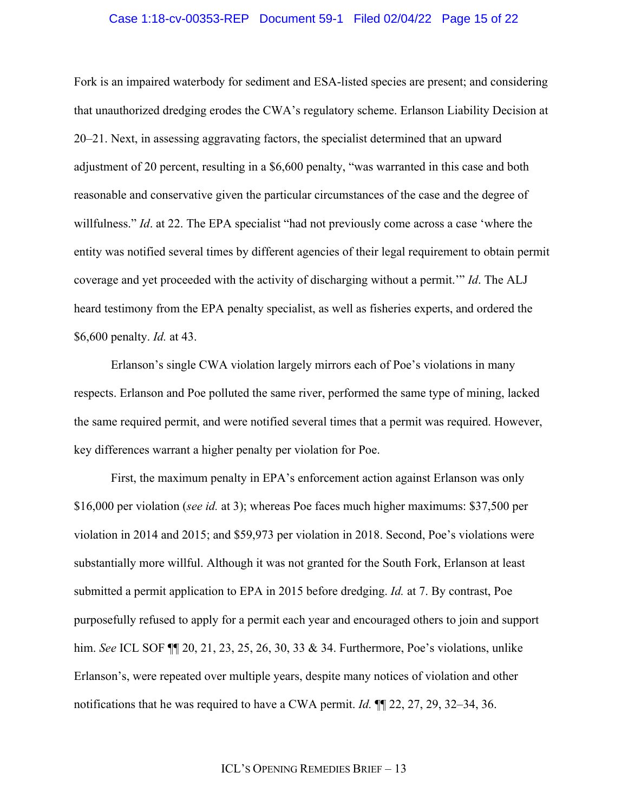### Case 1:18-cv-00353-REP Document 59-1 Filed 02/04/22 Page 15 of 22

Fork is an impaired waterbody for sediment and ESA-listed species are present; and considering that unauthorized dredging erodes the CWA's regulatory scheme. Erlanson Liability Decision at 20–21. Next, in assessing aggravating factors, the specialist determined that an upward adjustment of 20 percent, resulting in a \$6,600 penalty, "was warranted in this case and both reasonable and conservative given the particular circumstances of the case and the degree of willfulness." *Id*. at 22. The EPA specialist "had not previously come across a case 'where the entity was notified several times by different agencies of their legal requirement to obtain permit coverage and yet proceeded with the activity of discharging without a permit.'" *Id*. The ALJ heard testimony from the EPA penalty specialist, as well as fisheries experts, and ordered the \$6,600 penalty. *Id.* at 43.

Erlanson's single CWA violation largely mirrors each of Poe's violations in many respects. Erlanson and Poe polluted the same river, performed the same type of mining, lacked the same required permit, and were notified several times that a permit was required. However, key differences warrant a higher penalty per violation for Poe.

First, the maximum penalty in EPA's enforcement action against Erlanson was only \$16,000 per violation (*see id.* at 3); whereas Poe faces much higher maximums: \$37,500 per violation in 2014 and 2015; and \$59,973 per violation in 2018. Second, Poe's violations were substantially more willful. Although it was not granted for the South Fork, Erlanson at least submitted a permit application to EPA in 2015 before dredging. *Id.* at 7. By contrast, Poe purposefully refused to apply for a permit each year and encouraged others to join and support him. *See* ICL SOF ¶¶ 20, 21, 23, 25, 26, 30, 33 & 34. Furthermore, Poe's violations, unlike Erlanson's, were repeated over multiple years, despite many notices of violation and other notifications that he was required to have a CWA permit. *Id.* ¶¶ 22, 27, 29, 32–34, 36.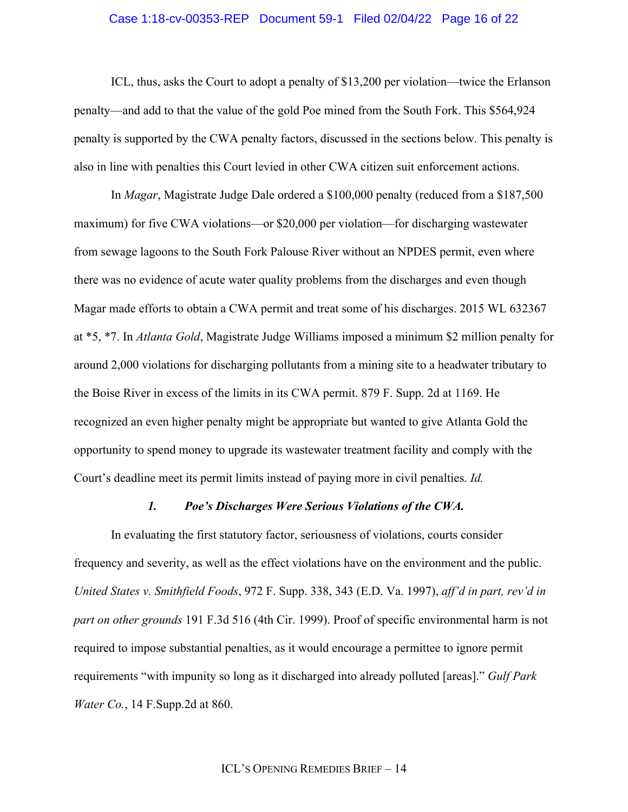### Case 1:18-cv-00353-REP Document 59-1 Filed 02/04/22 Page 16 of 22

ICL, thus, asks the Court to adopt a penalty of \$13,200 per violation—twice the Erlanson penalty—and add to that the value of the gold Poe mined from the South Fork. This \$564,924 penalty is supported by the CWA penalty factors, discussed in the sections below. This penalty is also in line with penalties this Court levied in other CWA citizen suit enforcement actions.

In *Magar*, Magistrate Judge Dale ordered a \$100,000 penalty (reduced from a \$187,500 maximum) for five CWA violations—or \$20,000 per violation—for discharging wastewater from sewage lagoons to the South Fork Palouse River without an NPDES permit, even where there was no evidence of acute water quality problems from the discharges and even though Magar made efforts to obtain a CWA permit and treat some of his discharges. 2015 WL 632367 at \*5, \*7. In *Atlanta Gold*, Magistrate Judge Williams imposed a minimum \$2 million penalty for around 2,000 violations for discharging pollutants from a mining site to a headwater tributary to the Boise River in excess of the limits in its CWA permit. 879 F. Supp. 2d at 1169. He recognized an even higher penalty might be appropriate but wanted to give Atlanta Gold the opportunity to spend money to upgrade its wastewater treatment facility and comply with the Court's deadline meet its permit limits instead of paying more in civil penalties. *Id.*

### *1. Poe's Discharges Were Serious Violations of the CWA.*

In evaluating the first statutory factor, seriousness of violations, courts consider frequency and severity, as well as the effect violations have on the environment and the public. *United States v. Smithfield Foods*, 972 F. Supp. 338, 343 (E.D. Va. 1997), *aff'd in part, rev'd in part on other grounds* 191 F.3d 516 (4th Cir. 1999). Proof of specific environmental harm is not required to impose substantial penalties, as it would encourage a permittee to ignore permit requirements "with impunity so long as it discharged into already polluted [areas]." *Gulf Park Water Co.*, 14 F.Supp.2d at 860.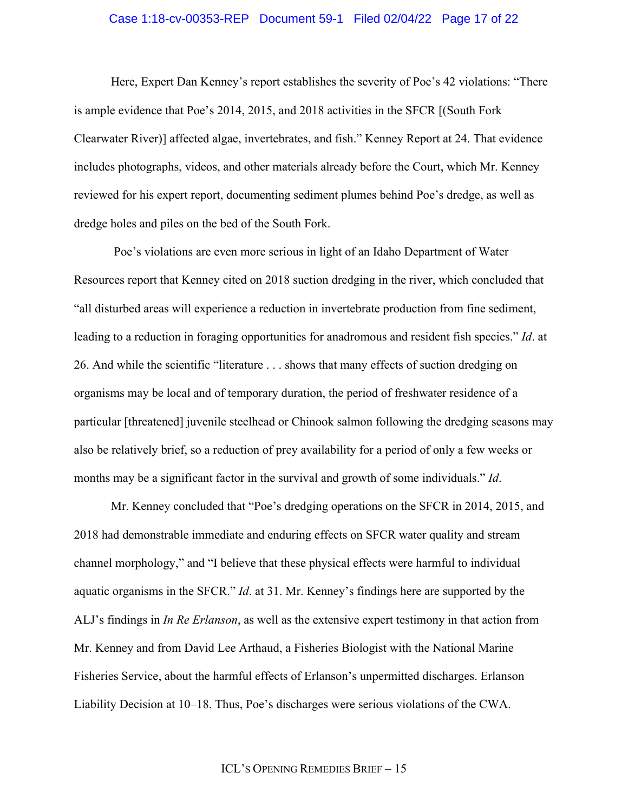### Case 1:18-cv-00353-REP Document 59-1 Filed 02/04/22 Page 17 of 22

Here, Expert Dan Kenney's report establishes the severity of Poe's 42 violations: "There is ample evidence that Poe's 2014, 2015, and 2018 activities in the SFCR [(South Fork Clearwater River)] affected algae, invertebrates, and fish." Kenney Report at 24. That evidence includes photographs, videos, and other materials already before the Court, which Mr. Kenney reviewed for his expert report, documenting sediment plumes behind Poe's dredge, as well as dredge holes and piles on the bed of the South Fork.

Poe's violations are even more serious in light of an Idaho Department of Water Resources report that Kenney cited on 2018 suction dredging in the river, which concluded that "all disturbed areas will experience a reduction in invertebrate production from fine sediment, leading to a reduction in foraging opportunities for anadromous and resident fish species." *Id*. at 26. And while the scientific "literature . . . shows that many effects of suction dredging on organisms may be local and of temporary duration, the period of freshwater residence of a particular [threatened] juvenile steelhead or Chinook salmon following the dredging seasons may also be relatively brief, so a reduction of prey availability for a period of only a few weeks or months may be a significant factor in the survival and growth of some individuals." *Id*.

Mr. Kenney concluded that "Poe's dredging operations on the SFCR in 2014, 2015, and 2018 had demonstrable immediate and enduring effects on SFCR water quality and stream channel morphology," and "I believe that these physical effects were harmful to individual aquatic organisms in the SFCR." *Id*. at 31. Mr. Kenney's findings here are supported by the ALJ's findings in *In Re Erlanson*, as well as the extensive expert testimony in that action from Mr. Kenney and from David Lee Arthaud, a Fisheries Biologist with the National Marine Fisheries Service, about the harmful effects of Erlanson's unpermitted discharges. Erlanson Liability Decision at 10–18. Thus, Poe's discharges were serious violations of the CWA.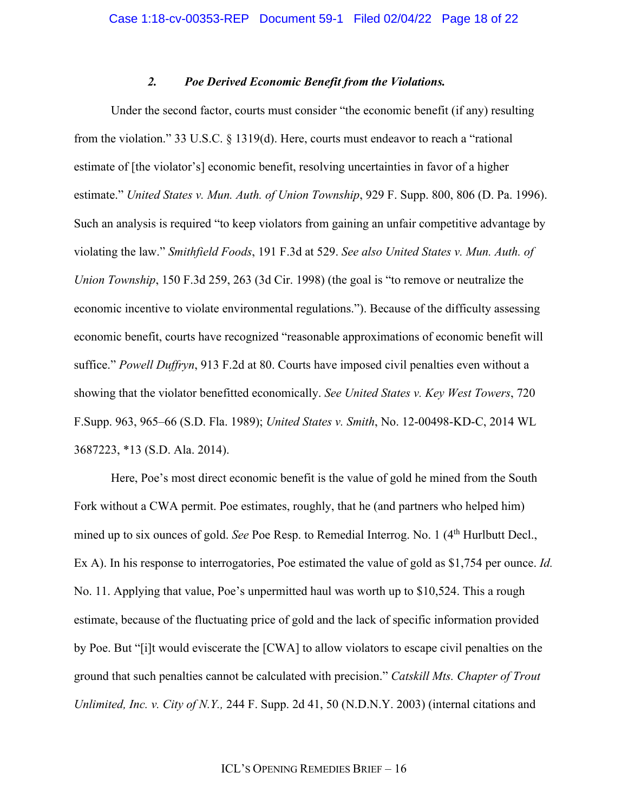### *2. Poe Derived Economic Benefit from the Violations.*

Under the second factor, courts must consider "the economic benefit (if any) resulting from the violation." 33 U.S.C. § 1319(d). Here, courts must endeavor to reach a "rational estimate of [the violator's] economic benefit, resolving uncertainties in favor of a higher estimate." *United States v. Mun. Auth. of Union Township*, 929 F. Supp. 800, 806 (D. Pa. 1996). Such an analysis is required "to keep violators from gaining an unfair competitive advantage by violating the law." *Smithfield Foods*, 191 F.3d at 529. *See also United States v. Mun. Auth. of Union Township*, 150 F.3d 259, 263 (3d Cir. 1998) (the goal is "to remove or neutralize the economic incentive to violate environmental regulations."). Because of the difficulty assessing economic benefit, courts have recognized "reasonable approximations of economic benefit will suffice." *Powell Duffryn*, 913 F.2d at 80. Courts have imposed civil penalties even without a showing that the violator benefitted economically. *See United States v. Key West Towers*, 720 F.Supp. 963, 965–66 (S.D. Fla. 1989); *United States v. Smith*, No. 12-00498-KD-C, 2014 WL 3687223, \*13 (S.D. Ala. 2014).

Here, Poe's most direct economic benefit is the value of gold he mined from the South Fork without a CWA permit. Poe estimates, roughly, that he (and partners who helped him) mined up to six ounces of gold. *See* Poe Resp. to Remedial Interrog. No. 1 (4<sup>th</sup> Hurlbutt Decl., Ex A). In his response to interrogatories, Poe estimated the value of gold as \$1,754 per ounce. *Id.*  No. 11. Applying that value, Poe's unpermitted haul was worth up to \$10,524. This a rough estimate, because of the fluctuating price of gold and the lack of specific information provided by Poe. But "[i]t would eviscerate the [CWA] to allow violators to escape civil penalties on the ground that such penalties cannot be calculated with precision." *Catskill Mts. Chapter of Trout Unlimited, Inc. v. City of N.Y.,* 244 F. Supp. 2d 41, 50 (N.D.N.Y. 2003) (internal citations and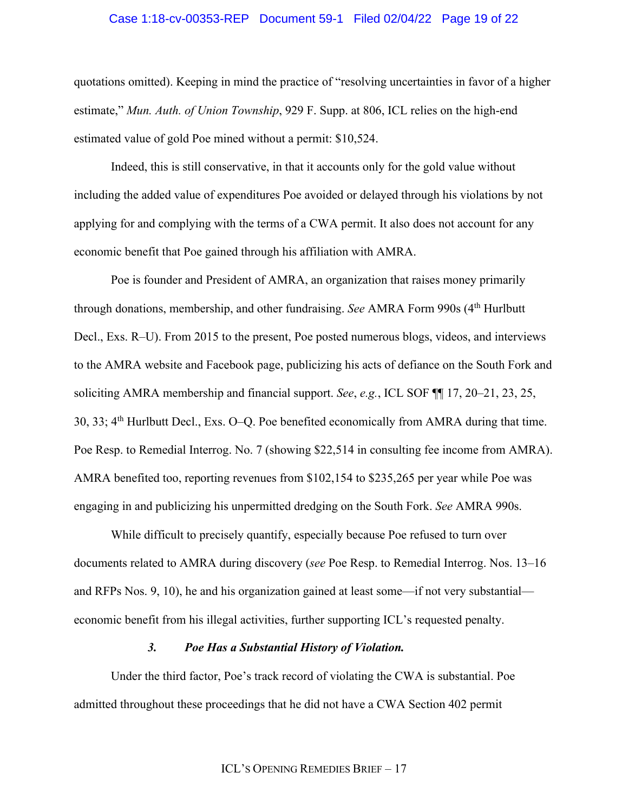### Case 1:18-cv-00353-REP Document 59-1 Filed 02/04/22 Page 19 of 22

quotations omitted). Keeping in mind the practice of "resolving uncertainties in favor of a higher estimate," *Mun. Auth. of Union Township*, 929 F. Supp. at 806, ICL relies on the high-end estimated value of gold Poe mined without a permit: \$10,524.

Indeed, this is still conservative, in that it accounts only for the gold value without including the added value of expenditures Poe avoided or delayed through his violations by not applying for and complying with the terms of a CWA permit. It also does not account for any economic benefit that Poe gained through his affiliation with AMRA.

Poe is founder and President of AMRA, an organization that raises money primarily through donations, membership, and other fundraising. *See* AMRA Form 990s (4th Hurlbutt Decl., Exs. R–U). From 2015 to the present, Poe posted numerous blogs, videos, and interviews to the AMRA website and Facebook page, publicizing his acts of defiance on the South Fork and soliciting AMRA membership and financial support. *See*, *e.g.*, ICL SOF ¶¶ 17, 20–21, 23, 25, 30, 33; 4th Hurlbutt Decl., Exs. O–Q. Poe benefited economically from AMRA during that time. Poe Resp. to Remedial Interrog. No. 7 (showing \$22,514 in consulting fee income from AMRA). AMRA benefited too, reporting revenues from \$102,154 to \$235,265 per year while Poe was engaging in and publicizing his unpermitted dredging on the South Fork. *See* AMRA 990s.

While difficult to precisely quantify, especially because Poe refused to turn over documents related to AMRA during discovery (*see* Poe Resp. to Remedial Interrog. Nos. 13–16 and RFPs Nos. 9, 10), he and his organization gained at least some—if not very substantial economic benefit from his illegal activities, further supporting ICL's requested penalty.

## *3. Poe Has a Substantial History of Violation.*

Under the third factor, Poe's track record of violating the CWA is substantial. Poe admitted throughout these proceedings that he did not have a CWA Section 402 permit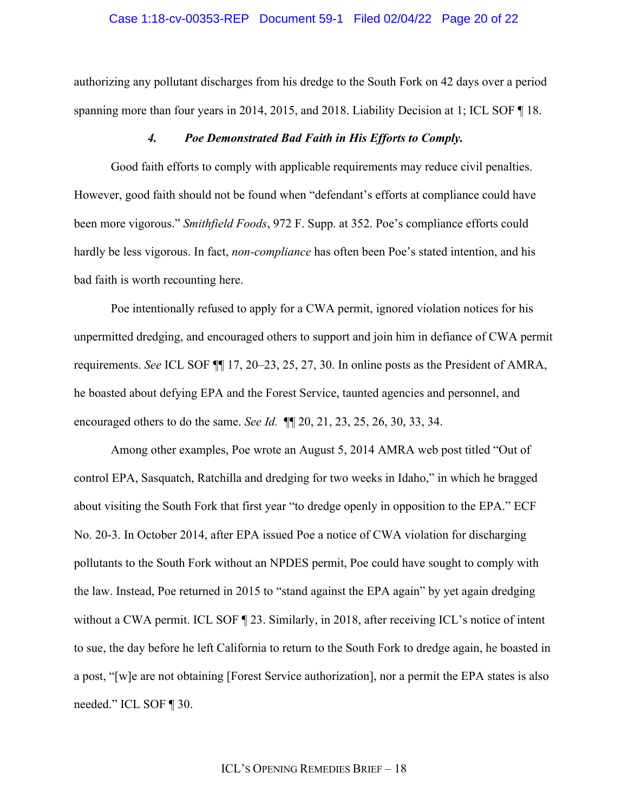### Case 1:18-cv-00353-REP Document 59-1 Filed 02/04/22 Page 20 of 22

authorizing any pollutant discharges from his dredge to the South Fork on 42 days over a period spanning more than four years in 2014, 2015, and 2018. Liability Decision at 1; ICL SOF  $\P$  18.

#### *4. Poe Demonstrated Bad Faith in His Efforts to Comply.*

Good faith efforts to comply with applicable requirements may reduce civil penalties. However, good faith should not be found when "defendant's efforts at compliance could have been more vigorous." *Smithfield Foods*, 972 F. Supp. at 352. Poe's compliance efforts could hardly be less vigorous. In fact, *non-compliance* has often been Poe's stated intention, and his bad faith is worth recounting here.

Poe intentionally refused to apply for a CWA permit, ignored violation notices for his unpermitted dredging, and encouraged others to support and join him in defiance of CWA permit requirements. *See* ICL SOF ¶¶ 17, 20–23, 25, 27, 30. In online posts as the President of AMRA, he boasted about defying EPA and the Forest Service, taunted agencies and personnel, and encouraged others to do the same. *See Id.* ¶¶ 20, 21, 23, 25, 26, 30, 33, 34.

Among other examples, Poe wrote an August 5, 2014 AMRA web post titled "Out of control EPA, Sasquatch, Ratchilla and dredging for two weeks in Idaho," in which he bragged about visiting the South Fork that first year "to dredge openly in opposition to the EPA." ECF No. 20-3. In October 2014, after EPA issued Poe a notice of CWA violation for discharging pollutants to the South Fork without an NPDES permit, Poe could have sought to comply with the law. Instead, Poe returned in 2015 to "stand against the EPA again" by yet again dredging without a CWA permit. ICL SOF  $\P$  23. Similarly, in 2018, after receiving ICL's notice of intent to sue, the day before he left California to return to the South Fork to dredge again, he boasted in a post, "[w]e are not obtaining [Forest Service authorization], nor a permit the EPA states is also needed." ICL SOF ¶ 30.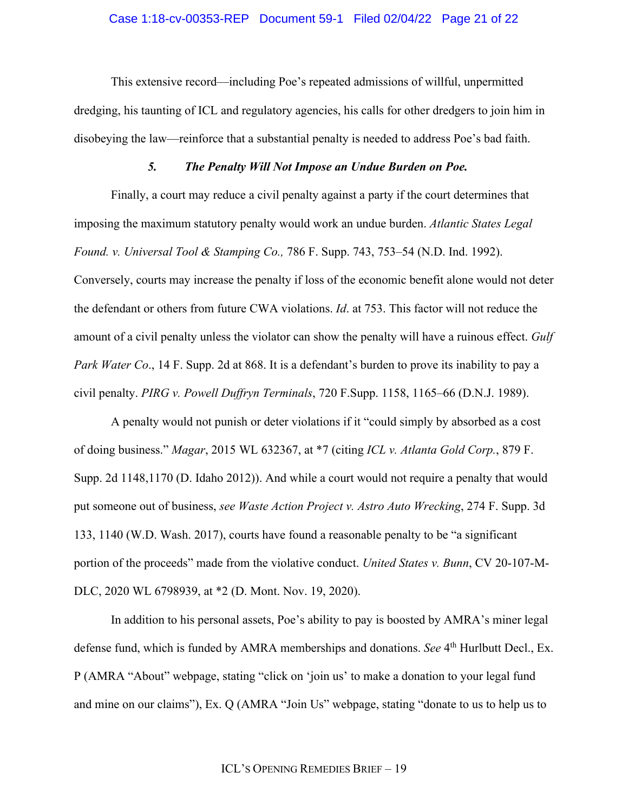This extensive record—including Poe's repeated admissions of willful, unpermitted dredging, his taunting of ICL and regulatory agencies, his calls for other dredgers to join him in disobeying the law—reinforce that a substantial penalty is needed to address Poe's bad faith.

### *5. The Penalty Will Not Impose an Undue Burden on Poe.*

Finally, a court may reduce a civil penalty against a party if the court determines that imposing the maximum statutory penalty would work an undue burden. *Atlantic States Legal Found. v. Universal Tool & Stamping Co.,* 786 F. Supp. 743, 753–54 (N.D. Ind. 1992). Conversely, courts may increase the penalty if loss of the economic benefit alone would not deter the defendant or others from future CWA violations. *Id*. at 753. This factor will not reduce the amount of a civil penalty unless the violator can show the penalty will have a ruinous effect. *Gulf Park Water Co*., 14 F. Supp. 2d at 868. It is a defendant's burden to prove its inability to pay a civil penalty. *PIRG v. Powell Duffryn Terminals*, 720 F.Supp. 1158, 1165–66 (D.N.J. 1989).

A penalty would not punish or deter violations if it "could simply by absorbed as a cost of doing business." *Magar*, 2015 WL 632367, at \*7 (citing *ICL v. Atlanta Gold Corp.*, 879 F. Supp. 2d 1148,1170 (D. Idaho 2012)). And while a court would not require a penalty that would put someone out of business, *see Waste Action Project v. Astro Auto Wrecking*, 274 F. Supp. 3d 133, 1140 (W.D. Wash. 2017), courts have found a reasonable penalty to be "a significant portion of the proceeds" made from the violative conduct. *United States v. Bunn*, CV 20-107-M-DLC, 2020 WL 6798939, at \*2 (D. Mont. Nov. 19, 2020).

In addition to his personal assets, Poe's ability to pay is boosted by AMRA's miner legal defense fund, which is funded by AMRA memberships and donations. *See* 4th Hurlbutt Decl., Ex. P (AMRA "About" webpage, stating "click on 'join us' to make a donation to your legal fund and mine on our claims"), Ex. Q (AMRA "Join Us" webpage, stating "donate to us to help us to